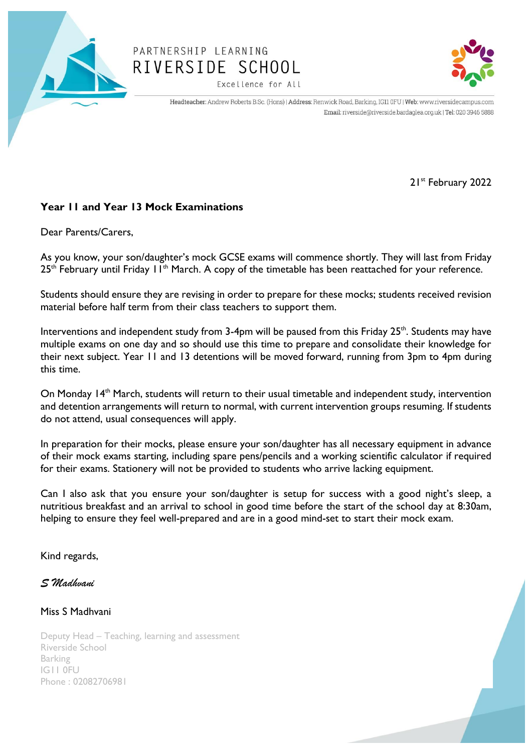

## PARTNERSHIP LEARNING RIVERSIDE SCHOOL Excellence for All



Headteacher: Andrew Roberts B.Sc. (Hons) | Address: Renwick Road, Barking, IG11 0FU | Web: www.riversidecampus.com Email: riverside@riverside.bardaglea.org.uk | Tel: 020 3946 5888

21st February 2022

## **Year 11 and Year 13 Mock Examinations**

Dear Parents/Carers,

As you know, your son/daughter's mock GCSE exams will commence shortly. They will last from Friday  $25<sup>th</sup>$  February until Friday 11<sup>th</sup> March. A copy of the timetable has been reattached for your reference.

Students should ensure they are revising in order to prepare for these mocks; students received revision material before half term from their class teachers to support them.

Interventions and independent study from 3-4pm will be paused from this Friday 25<sup>th</sup>. Students may have multiple exams on one day and so should use this time to prepare and consolidate their knowledge for their next subject. Year 11 and 13 detentions will be moved forward, running from 3pm to 4pm during this time.

On Monday 14<sup>th</sup> March, students will return to their usual timetable and independent study, intervention and detention arrangements will return to normal, with current intervention groups resuming. If students do not attend, usual consequences will apply.

In preparation for their mocks, please ensure your son/daughter has all necessary equipment in advance of their mock exams starting, including spare pens/pencils and a working scientific calculator if required for their exams. Stationery will not be provided to students who arrive lacking equipment.

Can I also ask that you ensure your son/daughter is setup for success with a good night's sleep, a nutritious breakfast and an arrival to school in good time before the start of the school day at 8:30am, helping to ensure they feel well-prepared and are in a good mind-set to start their mock exam.

Kind regards,

*S Madhvani*

## Miss S Madhvani

Deputy Head – Teaching, learning and assessment Riverside School Barking IG11 0FU Phone : 02082706981